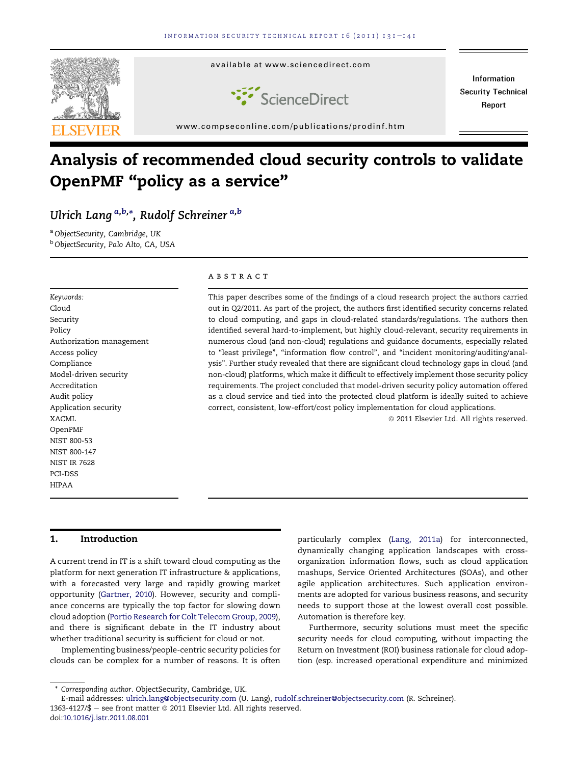

# Analysis of recommended cloud security controls to validate OpenPMF "policy as a service"

# Ulrich Lang <sup>a,b,</sup>\*, Rudolf Schreiner <sup>a,b</sup>

a ObjectSecurity, Cambridge, UK <sup>b</sup> ObjectSecurity, Palo Alto, CA, USA

Keywords: Cloud Security Policy Authorization management Access policy Compliance Model-driven security Accreditation Audit policy Application security XACML OpenPMF NIST 800-53 NIST 800-147 NIST IR 7628 PCI-DSS HIPAA

#### **ABSTRACT**

This paper describes some of the findings of a cloud research project the authors carried out in Q2/2011. As part of the project, the authors first identified security concerns related to cloud computing, and gaps in cloud-related standards/regulations. The authors then identified several hard-to-implement, but highly cloud-relevant, security requirements in numerous cloud (and non-cloud) regulations and guidance documents, especially related to "least privilege", "information flow control", and "incident monitoring/auditing/analysis". Further study revealed that there are significant cloud technology gaps in cloud (and non-cloud) platforms, which make it difficult to effectively implement those security policy requirements. The project concluded that model-driven security policy automation offered as a cloud service and tied into the protected cloud platform is ideally suited to achieve correct, consistent, low-effort/cost policy implementation for cloud applications.

 $@$  2011 Elsevier Ltd. All rights reserved.

#### 1. Introduction

A current trend in IT is a shift toward cloud computing as the platform for next generation IT infrastructure & applications, with a forecasted very large and rapidly growing market opportunity ([Gartner, 2010](#page-10-0)). However, security and compliance concerns are typically the top factor for slowing down cloud adoption ([Portio Research for Colt Telecom Group, 2009](#page-10-0)), and there is significant debate in the IT industry about whether traditional security is sufficient for cloud or not.

Implementing business/people-centric security policies for clouds can be complex for a number of reasons. It is often

Furthermore, security solutions must meet the specific security needs for cloud computing, without impacting the Return on Investment (ROI) business rationale for cloud adoption (esp. increased operational expenditure and minimized

particularly complex [\(Lang, 2011a](#page-10-0)) for interconnected, dynamically changing application landscapes with crossorganization information flows, such as cloud application mashups, Service Oriented Architectures (SOAs), and other agile application architectures. Such application environments are adopted for various business reasons, and security needs to support those at the lowest overall cost possible. Automation is therefore key.

<sup>\*</sup> Corresponding author. ObjectSecurity, Cambridge, UK.

E-mail addresses: [ulrich.lang@objectsecurity.com](mailto:ulrich.lang@objectsecurity.com) (U. Lang), [rudolf.schreiner@objectsecurity.com](mailto:rudolf.schreiner@objectsecurity.com) (R. Schreiner). 1363-4127/\$ - see front matter  $\odot$  2011 Elsevier Ltd. All rights reserved. doi[:10.1016/j.istr.2011.08.001](http://dx.doi.org/10.1016/j.istr.2011.08.001)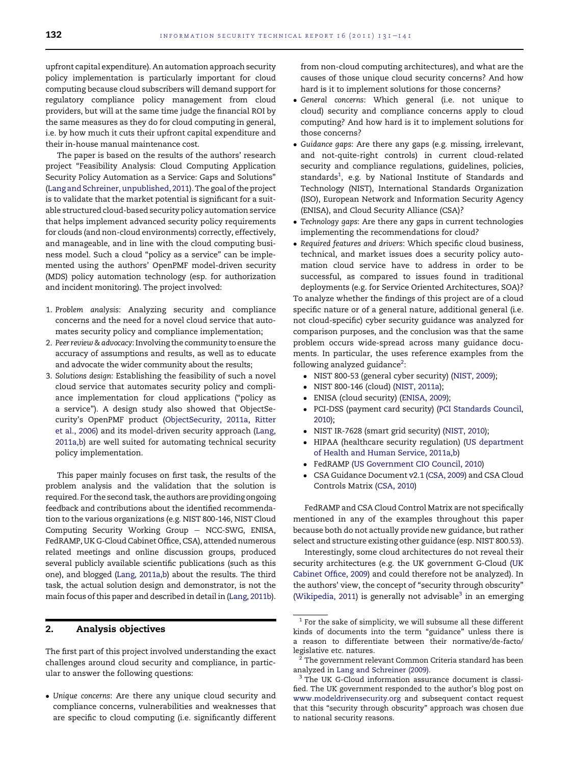upfront capital expenditure). An automation approach security policy implementation is particularly important for cloud computing because cloud subscribers will demand support for regulatory compliance policy management from cloud providers, but will at the same time judge the financial ROI by the same measures as they do for cloud computing in general, i.e. by how much it cuts their upfront capital expenditure and their in-house manual maintenance cost.

The paper is based on the results of the authors' research project "Feasibility Analysis: Cloud Computing Application Security Policy Automation as a Service: Gaps and Solutions" ([Lang and Schreiner, unpublished, 2011](#page-10-0)). The goal of the project is to validate that the market potential is significant for a suitable structured cloud-based security policy automation service that helps implement advanced security policy requirements for clouds (and non-cloud environments) correctly, effectively, and manageable, and in line with the cloud computing business model. Such a cloud "policy as a service" can be implemented using the authors' OpenPMF model-driven security (MDS) policy automation technology (esp. for authorization and incident monitoring). The project involved:

- 1. Problem analysis: Analyzing security and compliance concerns and the need for a novel cloud service that automates security policy and compliance implementation;
- 2. Peer review & advocacy: Involving the community to ensure the accuracy of assumptions and results, as well as to educate and advocate the wider community about the results;
- 3. Solutions design: Establishing the feasibility of such a novel cloud service that automates security policy and compliance implementation for cloud applications ("policy as a service"). A design study also showed that ObjectSecurity's OpenPMF product [\(ObjectSecurity, 2011a, Ritter](#page-10-0) [et al., 2006](#page-10-0)) and its model-driven security approach [\(Lang,](#page-10-0) [2011a,b\)](#page-10-0) are well suited for automating technical security policy implementation.

This paper mainly focuses on first task, the results of the problem analysis and the validation that the solution is required. For the second task, the authors are providing ongoing feedback and contributions about the identified recommendation to the various organizations (e.g. NIST 800-146, NIST Cloud Computing Security Working Group - NCC-SWG, ENISA, FedRAMP, UK G-Cloud Cabinet Office, CSA), attended numerous related meetings and online discussion groups, produced several publicly available scientific publications (such as this one), and blogged [\(Lang, 2011a,b](#page-10-0)) about the results. The third task, the actual solution design and demonstrator, is not the main focus of this paper and described in detail in ([Lang, 2011b\)](#page-10-0).

# 2. Analysis objectives

The first part of this project involved understanding the exact challenges around cloud security and compliance, in particular to answer the following questions:

 Unique concerns: Are there any unique cloud security and compliance concerns, vulnerabilities and weaknesses that are specific to cloud computing (i.e. significantly different from non-cloud computing architectures), and what are the causes of those unique cloud security concerns? And how hard is it to implement solutions for those concerns?

- General concerns: Which general (i.e. not unique to cloud) security and compliance concerns apply to cloud computing? And how hard is it to implement solutions for those concerns?
- Guidance gaps: Are there any gaps (e.g. missing, irrelevant, and not-quite-right controls) in current cloud-related security and compliance regulations, guidelines, policies, standards $^1$ , e.g. by National Institute of Standards and Technology (NIST), International Standards Organization (ISO), European Network and Information Security Agency (ENISA), and Cloud Security Alliance (CSA)?
- Technology gaps: Are there any gaps in current technologies implementing the recommendations for cloud?
- Required features and drivers: Which specific cloud business, technical, and market issues does a security policy automation cloud service have to address in order to be successful, as compared to issues found in traditional deployments (e.g. for Service Oriented Architectures, SOA)?

To analyze whether the findings of this project are of a cloud specific nature or of a general nature, additional general (i.e. not cloud-specific) cyber security guidance was analyzed for comparison purposes, and the conclusion was that the same problem occurs wide-spread across many guidance documents. In particular, the uses reference examples from the following analyzed guidance<sup>2</sup>:

- NIST 800-53 (general cyber security) ([NIST, 2009\)](#page-10-0);
- NIST 800-146 (cloud) [\(NIST, 2011a](#page-10-0));
- ENISA (cloud security) [\(ENISA, 2009](#page-9-0));
- PCI-DSS (payment card security) ([PCI Standards Council,](#page-10-0) [2010\)](#page-10-0);
- NIST IR-7628 (smart grid security) [\(NIST, 2010](#page-10-0));
- HIPAA (healthcare security regulation) [\(US department](#page-10-0) [of Health and Human Service, 2011a,b\)](#page-10-0)
- FedRAMP [\(US Government CIO Council, 2010](#page-10-0))
- CSA Guidance Document v2.1 [\(CSA, 2009\)](#page-9-0) and CSA Cloud Controls Matrix ([CSA, 2010](#page-9-0))

FedRAMP and CSA Cloud Control Matrix are not specifically mentioned in any of the examples throughout this paper because both do not actually provide new guidance, but rather select and structure existing other guidance (esp. NIST 800.53).

Interestingly, some cloud architectures do not reveal their security architectures (e.g. the UK government G-Cloud ([UK](#page-10-0) [Cabinet Office, 2009](#page-10-0)) and could therefore not be analyzed). In the authors' view, the concept of "security through obscurity" ([Wikipedia, 2011](#page-10-0)) is generally not advisable $3$  in an emerging

 $^{\rm 1}$  For the sake of simplicity, we will subsume all these different kinds of documents into the term "guidance" unless there is a reason to differentiate between their normative/de-facto/ legislative etc. natures.

The government relevant Common Criteria standard has been analyzed in [Lang and Schreiner \(2009\)](#page-10-0).

<sup>&</sup>lt;sup>3</sup> The UK G-Cloud information assurance document is classified. The UK government responded to the author's blog post on [www.modeldrivensecurity.org](http://www.modeldrivensecurity.org) and subsequent contact request that this "security through obscurity" approach was chosen due to national security reasons.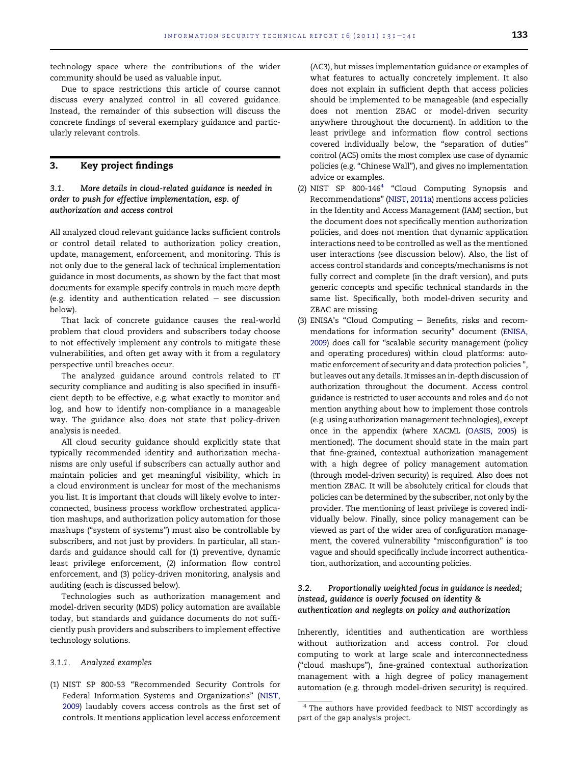technology space where the contributions of the wider community should be used as valuable input.

Due to space restrictions this article of course cannot discuss every analyzed control in all covered guidance. Instead, the remainder of this subsection will discuss the concrete findings of several exemplary guidance and particularly relevant controls.

# 3. Key project findings

# 3.1. More details in cloud-related guidance is needed in order to push for effective implementation, esp. of authorization and access control

All analyzed cloud relevant guidance lacks sufficient controls or control detail related to authorization policy creation, update, management, enforcement, and monitoring. This is not only due to the general lack of technical implementation guidance in most documents, as shown by the fact that most documents for example specify controls in much more depth (e.g. identity and authentication related  $-$  see discussion below).

That lack of concrete guidance causes the real-world problem that cloud providers and subscribers today choose to not effectively implement any controls to mitigate these vulnerabilities, and often get away with it from a regulatory perspective until breaches occur.

The analyzed guidance around controls related to IT security compliance and auditing is also specified in insufficient depth to be effective, e.g. what exactly to monitor and log, and how to identify non-compliance in a manageable way. The guidance also does not state that policy-driven analysis is needed.

All cloud security guidance should explicitly state that typically recommended identity and authorization mechanisms are only useful if subscribers can actually author and maintain policies and get meaningful visibility, which in a cloud environment is unclear for most of the mechanisms you list. It is important that clouds will likely evolve to interconnected, business process workflow orchestrated application mashups, and authorization policy automation for those mashups ("system of systems") must also be controllable by subscribers, and not just by providers. In particular, all standards and guidance should call for (1) preventive, dynamic least privilege enforcement, (2) information flow control enforcement, and (3) policy-driven monitoring, analysis and auditing (each is discussed below).

Technologies such as authorization management and model-driven security (MDS) policy automation are available today, but standards and guidance documents do not sufficiently push providers and subscribers to implement effective technology solutions.

#### 3.1.1. Analyzed examples

(1) NIST SP 800-53 "Recommended Security Controls for Federal Information Systems and Organizations" ([NIST,](#page-10-0) [2009\)](#page-10-0) laudably covers access controls as the first set of controls. It mentions application level access enforcement (AC3), but misses implementation guidance or examples of what features to actually concretely implement. It also does not explain in sufficient depth that access policies should be implemented to be manageable (and especially does not mention ZBAC or model-driven security anywhere throughout the document). In addition to the least privilege and information flow control sections covered individually below, the "separation of duties" control (AC5) omits the most complex use case of dynamic policies (e.g. "Chinese Wall"), and gives no implementation advice or examples.

- (2) NIST SP  $800-146<sup>4</sup>$  "Cloud Computing Synopsis and Recommendations" ([NIST, 2011a](#page-10-0)) mentions access policies in the Identity and Access Management (IAM) section, but the document does not specifically mention authorization policies, and does not mention that dynamic application interactions need to be controlled as well as the mentioned user interactions (see discussion below). Also, the list of access control standards and concepts/mechanisms is not fully correct and complete (in the draft version), and puts generic concepts and specific technical standards in the same list. Specifically, both model-driven security and ZBAC are missing.
- (3) ENISA's "Cloud Computing  $-$  Benefits, risks and recommendations for information security" document [\(ENISA,](#page-9-0) [2009](#page-9-0)) does call for "scalable security management (policy and operating procedures) within cloud platforms: automatic enforcement of security and data protection policies ", but leaves out any details. Itmisses an in-depth discussion of authorization throughout the document. Access control guidance is restricted to user accounts and roles and do not mention anything about how to implement those controls (e.g. using authorization management technologies), except once in the appendix (where XACML ([OASIS, 2005\)](#page-10-0) is mentioned). The document should state in the main part that fine-grained, contextual authorization management with a high degree of policy management automation (through model-driven security) is required. Also does not mention ZBAC. It will be absolutely critical for clouds that policies can be determined by the subscriber, not only by the provider. The mentioning of least privilege is covered individually below. Finally, since policy management can be viewed as part of the wider area of configuration management, the covered vulnerability "misconfiguration" is too vague and should specifically include incorrect authentication, authorization, and accounting policies.

# 3.2. Proportionally weighted focus in guidance is needed; instead, guidance is overly focused on identity & authentication and neglegts on policy and authorization

Inherently, identities and authentication are worthless without authorization and access control. For cloud computing to work at large scale and interconnectedness ("cloud mashups"), fine-grained contextual authorization management with a high degree of policy management automation (e.g. through model-driven security) is required.

<sup>4</sup> The authors have provided feedback to NIST accordingly as part of the gap analysis project.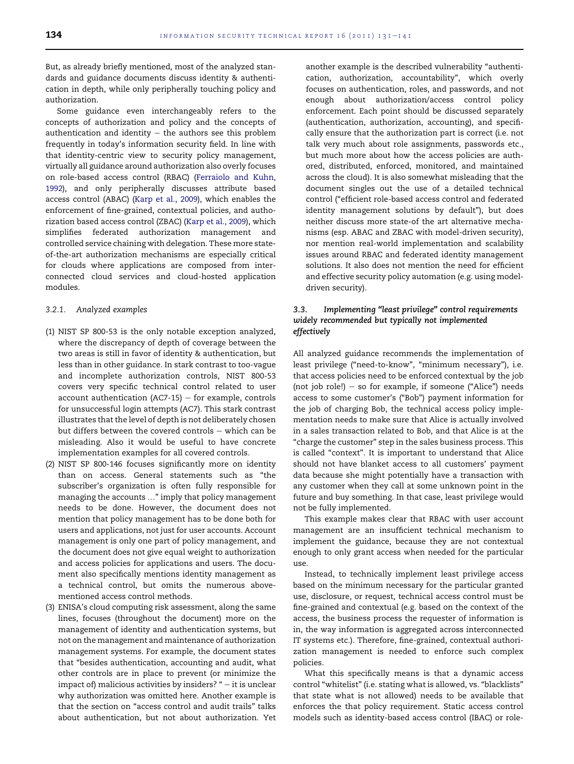But, as already briefly mentioned, most of the analyzed standards and guidance documents discuss identity & authentication in depth, while only peripherally touching policy and authorization.

Some guidance even interchangeably refers to the concepts of authorization and policy and the concepts of authentication and identity  $-$  the authors see this problem frequently in today's information security field. In line with that identity-centric view to security policy management, virtually all guidance around authorization also overly focuses on role-based access control (RBAC) ([Ferraiolo and Kuhn,](#page-9-0) [1992\)](#page-9-0), and only peripherally discusses attribute based access control (ABAC) ([Karp et al., 2009\)](#page-10-0), which enables the enforcement of fine-grained, contextual policies, and authorization based access control (ZBAC) [\(Karp et al., 2009](#page-10-0)), which simplifies federated authorization management and controlled service chaining with delegation. These more stateof-the-art authorization mechanisms are especially critical for clouds where applications are composed from interconnected cloud services and cloud-hosted application modules.

#### 3.2.1. Analyzed examples

- (1) NIST SP 800-53 is the only notable exception analyzed, where the discrepancy of depth of coverage between the two areas is still in favor of identity & authentication, but less than in other guidance. In stark contrast to too-vague and incomplete authorization controls, NIST 800-53 covers very specific technical control related to user account authentication (AC7-15)  $-$  for example, controls for unsuccessful login attempts (AC7). This stark contrast illustrates that the level of depth is not deliberately chosen but differs between the covered controls  $-$  which can be misleading. Also it would be useful to have concrete implementation examples for all covered controls.
- (2) NIST SP 800-146 focuses significantly more on identity than on access. General statements such as "the subscriber's organization is often fully responsible for managing the accounts ..." imply that policy management needs to be done. However, the document does not mention that policy management has to be done both for users and applications, not just for user accounts. Account management is only one part of policy management, and the document does not give equal weight to authorization and access policies for applications and users. The document also specifically mentions identity management as a technical control, but omits the numerous abovementioned access control methods.
- (3) ENISA's cloud computing risk assessment, along the same lines, focuses (throughout the document) more on the management of identity and authentication systems, but not on the management and maintenance of authorization management systems. For example, the document states that "besides authentication, accounting and audit, what other controls are in place to prevent (or minimize the impact of) malicious activities by insiders? " $-$  it is unclear why authorization was omitted here. Another example is that the section on "access control and audit trails" talks about authentication, but not about authorization. Yet

another example is the described vulnerability "authentication, authorization, accountability", which overly focuses on authentication, roles, and passwords, and not enough about authorization/access control policy enforcement. Each point should be discussed separately (authentication, authorization, accounting), and specifically ensure that the authorization part is correct (i.e. not talk very much about role assignments, passwords etc., but much more about how the access policies are authored, distributed, enforced, monitored, and maintained across the cloud). It is also somewhat misleading that the document singles out the use of a detailed technical control ("efficient role-based access control and federated identity management solutions by default"), but does neither discuss more state-of the art alternative mechanisms (esp. ABAC and ZBAC with model-driven security), nor mention real-world implementation and scalability issues around RBAC and federated identity management solutions. It also does not mention the need for efficient and effective security policy automation (e.g. using modeldriven security).

# 3.3. Implementing "least privilege" control requirements widely recommended but typically not implemented effectively

All analyzed guidance recommends the implementation of least privilege ("need-to-know", "minimum necessary"), i.e. that access policies need to be enforced contextual by the job (not job role!) – so for example, if someone ("Alice") needs access to some customer's ("Bob") payment information for the job of charging Bob, the technical access policy implementation needs to make sure that Alice is actually involved in a sales transaction related to Bob, and that Alice is at the "charge the customer" step in the sales business process. This is called "context". It is important to understand that Alice should not have blanket access to all customers' payment data because she might potentially have a transaction with any customer when they call at some unknown point in the future and buy something. In that case, least privilege would not be fully implemented.

This example makes clear that RBAC with user account management are an insufficient technical mechanism to implement the guidance, because they are not contextual enough to only grant access when needed for the particular use.

Instead, to technically implement least privilege access based on the minimum necessary for the particular granted use, disclosure, or request, technical access control must be fine-grained and contextual (e.g. based on the context of the access, the business process the requester of information is in, the way information is aggregated across interconnected IT systems etc.). Therefore, fine-grained, contextual authorization management is needed to enforce such complex policies.

What this specifically means is that a dynamic access control "whitelist" (i.e. stating what is allowed, vs. "blacklists" that state what is not allowed) needs to be available that enforces the that policy requirement. Static access control models such as identity-based access control (IBAC) or role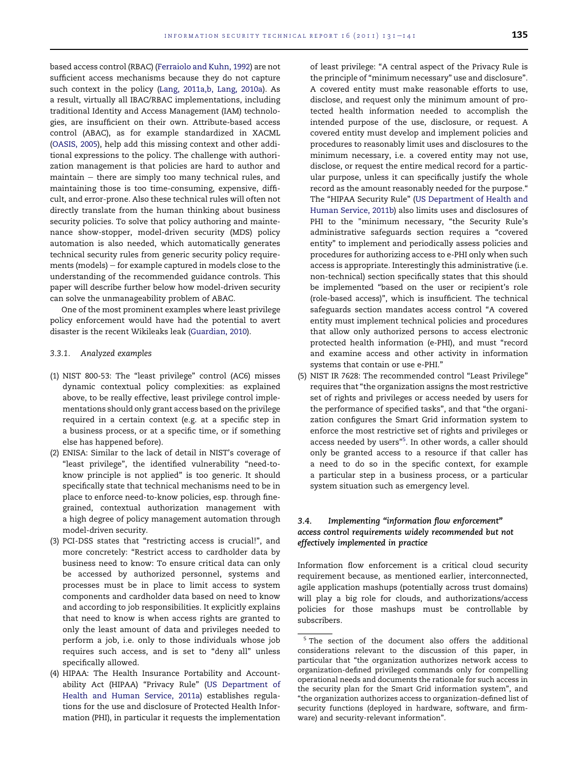based access control (RBAC) ([Ferraiolo and Kuhn, 1992\)](#page-9-0) are not sufficient access mechanisms because they do not capture such context in the policy ([Lang, 2011a,b, Lang, 2010a\)](#page-10-0). As a result, virtually all IBAC/RBAC implementations, including traditional Identity and Access Management (IAM) technologies, are insufficient on their own. Attribute-based access control (ABAC), as for example standardized in XACML [\(OASIS, 2005](#page-10-0)), help add this missing context and other additional expressions to the policy. The challenge with authorization management is that policies are hard to author and  $main - there$  are simply too many technical rules, and maintaining those is too time-consuming, expensive, difficult, and error-prone. Also these technical rules will often not directly translate from the human thinking about business security policies. To solve that policy authoring and maintenance show-stopper, model-driven security (MDS) policy automation is also needed, which automatically generates technical security rules from generic security policy requirements (models)  $-$  for example captured in models close to the understanding of the recommended guidance controls. This paper will describe further below how model-driven security can solve the unmanageability problem of ABAC.

One of the most prominent examples where least privilege policy enforcement would have had the potential to avert disaster is the recent Wikileaks leak ([Guardian, 2010](#page-10-0)).

#### 3.3.1. Analyzed examples

- (1) NIST 800-53: The "least privilege" control (AC6) misses dynamic contextual policy complexities: as explained above, to be really effective, least privilege control implementations should only grant access based on the privilege required in a certain context (e.g. at a specific step in a business process, or at a specific time, or if something else has happened before).
- (2) ENISA: Similar to the lack of detail in NIST's coverage of "least privilege", the identified vulnerability "need-toknow principle is not applied" is too generic. It should specifically state that technical mechanisms need to be in place to enforce need-to-know policies, esp. through finegrained, contextual authorization management with a high degree of policy management automation through model-driven security.
- (3) PCI-DSS states that "restricting access is crucial!", and more concretely: "Restrict access to cardholder data by business need to know: To ensure critical data can only be accessed by authorized personnel, systems and processes must be in place to limit access to system components and cardholder data based on need to know and according to job responsibilities. It explicitly explains that need to know is when access rights are granted to only the least amount of data and privileges needed to perform a job, i.e. only to those individuals whose job requires such access, and is set to "deny all" unless specifically allowed.
- (4) HIPAA: The Health Insurance Portability and Accountability Act (HIPAA) "Privacy Rule" ([US Department of](#page-10-0) [Health and Human Service, 2011a\)](#page-10-0) establishes regulations for the use and disclosure of Protected Health Information (PHI), in particular it requests the implementation

of least privilege: "A central aspect of the Privacy Rule is the principle of "minimum necessary" use and disclosure". A covered entity must make reasonable efforts to use, disclose, and request only the minimum amount of protected health information needed to accomplish the intended purpose of the use, disclosure, or request. A covered entity must develop and implement policies and procedures to reasonably limit uses and disclosures to the minimum necessary, i.e. a covered entity may not use, disclose, or request the entire medical record for a particular purpose, unless it can specifically justify the whole record as the amount reasonably needed for the purpose." The "HIPAA Security Rule" [\(US Department of Health and](#page-10-0) [Human Service, 2011b\)](#page-10-0) also limits uses and disclosures of PHI to the "minimum necessary, "the Security Rule's administrative safeguards section requires a "covered entity" to implement and periodically assess policies and procedures for authorizing access to e-PHI only when such access is appropriate. Interestingly this administrative (i.e. non-technical) section specifically states that this should be implemented "based on the user or recipient's role (role-based access)", which is insufficient. The technical safeguards section mandates access control "A covered entity must implement technical policies and procedures that allow only authorized persons to access electronic protected health information (e-PHI), and must "record and examine access and other activity in information systems that contain or use e-PHI."

(5) NIST IR 7628: The recommended control "Least Privilege" requires that "the organization assigns the most restrictive set of rights and privileges or access needed by users for the performance of specified tasks", and that "the organization configures the Smart Grid information system to enforce the most restrictive set of rights and privileges or access needed by users"<sup>5</sup>. In other words, a caller should only be granted access to a resource if that caller has a need to do so in the specific context, for example a particular step in a business process, or a particular system situation such as emergency level.

# 3.4. Implementing "information flow enforcement" access control requirements widely recommended but not effectively implemented in practice

Information flow enforcement is a critical cloud security requirement because, as mentioned earlier, interconnected, agile application mashups (potentially across trust domains) will play a big role for clouds, and authorizations/access policies for those mashups must be controllable by subscribers.

<sup>&</sup>lt;sup>5</sup> The section of the document also offers the additional considerations relevant to the discussion of this paper, in particular that "the organization authorizes network access to organization-defined privileged commands only for compelling operational needs and documents the rationale for such access in the security plan for the Smart Grid information system", and "the organization authorizes access to organization-defined list of security functions (deployed in hardware, software, and firmware) and security-relevant information".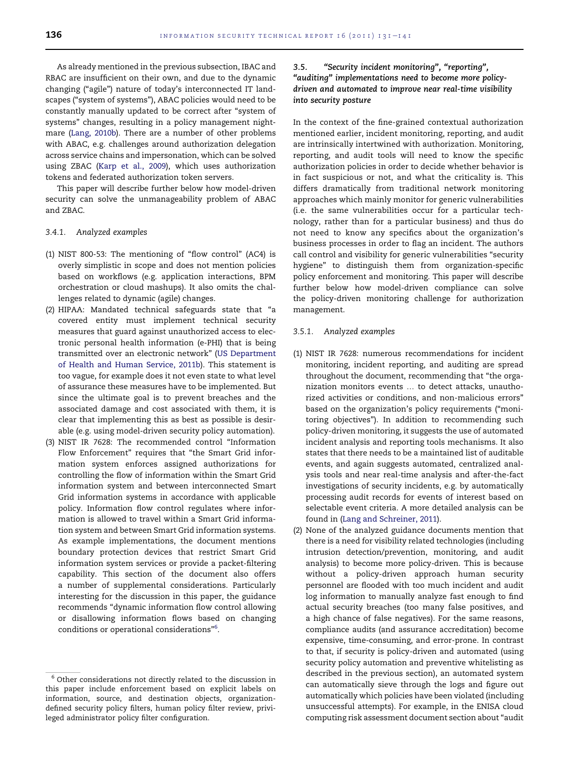As already mentioned in the previous subsection, IBAC and RBAC are insufficient on their own, and due to the dynamic changing ("agile") nature of today's interconnected IT landscapes ("system of systems"), ABAC policies would need to be constantly manually updated to be correct after "system of systems" changes, resulting in a policy management nightmare ([Lang, 2010b](#page-10-0)). There are a number of other problems with ABAC, e.g. challenges around authorization delegation across service chains and impersonation, which can be solved using ZBAC [\(Karp et al., 2009](#page-10-0)), which uses authorization tokens and federated authorization token servers.

This paper will describe further below how model-driven security can solve the unmanageability problem of ABAC and ZBAC.

#### 3.4.1. Analyzed examples

- (1) NIST 800-53: The mentioning of "flow control" (AC4) is overly simplistic in scope and does not mention policies based on workflows (e.g. application interactions, BPM orchestration or cloud mashups). It also omits the challenges related to dynamic (agile) changes.
- (2) HIPAA: Mandated technical safeguards state that "a covered entity must implement technical security measures that guard against unauthorized access to electronic personal health information (e-PHI) that is being transmitted over an electronic network" ([US Department](#page-10-0) [of Health and Human Service, 2011b](#page-10-0)). This statement is too vague, for example does it not even state to what level of assurance these measures have to be implemented. But since the ultimate goal is to prevent breaches and the associated damage and cost associated with them, it is clear that implementing this as best as possible is desirable (e.g. using model-driven security policy automation).
- (3) NIST IR 7628: The recommended control "Information Flow Enforcement" requires that "the Smart Grid information system enforces assigned authorizations for controlling the flow of information within the Smart Grid information system and between interconnected Smart Grid information systems in accordance with applicable policy. Information flow control regulates where information is allowed to travel within a Smart Grid information system and between Smart Grid information systems. As example implementations, the document mentions boundary protection devices that restrict Smart Grid information system services or provide a packet-filtering capability. This section of the document also offers a number of supplemental considerations. Particularly interesting for the discussion in this paper, the guidance recommends "dynamic information flow control allowing or disallowing information flows based on changing conditions or operational considerations"6 .

# 3.5. "Security incident monitoring", "reporting", "auditing" implementations need to become more policydriven and automated to improve near real-time visibility into security posture

In the context of the fine-grained contextual authorization mentioned earlier, incident monitoring, reporting, and audit are intrinsically intertwined with authorization. Monitoring, reporting, and audit tools will need to know the specific authorization policies in order to decide whether behavior is in fact suspicious or not, and what the criticality is. This differs dramatically from traditional network monitoring approaches which mainly monitor for generic vulnerabilities (i.e. the same vulnerabilities occur for a particular technology, rather than for a particular business) and thus do not need to know any specifics about the organization's business processes in order to flag an incident. The authors call control and visibility for generic vulnerabilities "security hygiene" to distinguish them from organization-specific policy enforcement and monitoring. This paper will describe further below how model-driven compliance can solve the policy-driven monitoring challenge for authorization management.

## 3.5.1. Analyzed examples

- (1) NIST IR 7628: numerous recommendations for incident monitoring, incident reporting, and auditing are spread throughout the document, recommending that "the organization monitors events ... to detect attacks, unauthorized activities or conditions, and non-malicious errors" based on the organization's policy requirements ("monitoring objectives"). In addition to recommending such policy-driven monitoring, it suggests the use of automated incident analysis and reporting tools mechanisms. It also states that there needs to be a maintained list of auditable events, and again suggests automated, centralized analysis tools and near real-time analysis and after-the-fact investigations of security incidents, e.g. by automatically processing audit records for events of interest based on selectable event criteria. A more detailed analysis can be found in ([Lang and Schreiner, 2011\)](#page-10-0).
- (2) None of the analyzed guidance documents mention that there is a need for visibility related technologies (including intrusion detection/prevention, monitoring, and audit analysis) to become more policy-driven. This is because without a policy-driven approach human security personnel are flooded with too much incident and audit log information to manually analyze fast enough to find actual security breaches (too many false positives, and a high chance of false negatives). For the same reasons, compliance audits (and assurance accreditation) become expensive, time-consuming, and error-prone. In contrast to that, if security is policy-driven and automated (using security policy automation and preventive whitelisting as described in the previous section), an automated system can automatically sieve through the logs and figure out automatically which policies have been violated (including unsuccessful attempts). For example, in the ENISA cloud computing risk assessment document section about "audit

 $6$  Other considerations not directly related to the discussion in this paper include enforcement based on explicit labels on information, source, and destination objects, organizationdefined security policy filters, human policy filter review, privileged administrator policy filter configuration.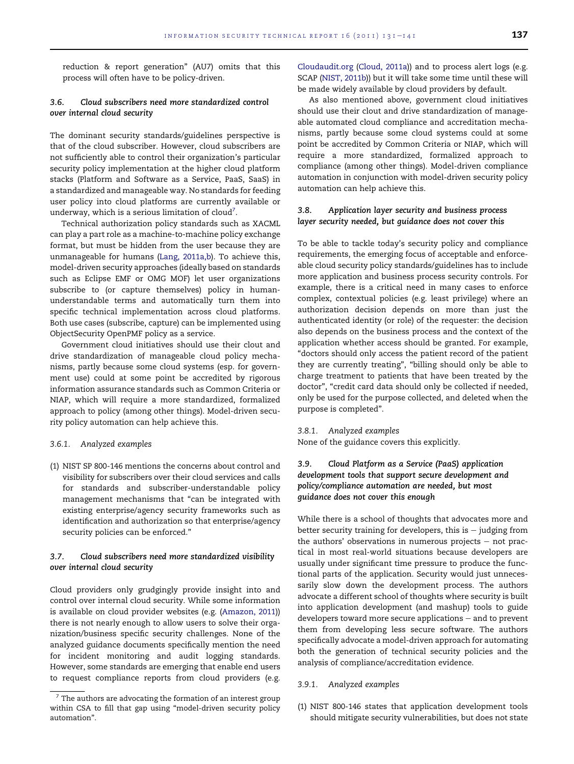reduction & report generation" (AU7) omits that this process will often have to be policy-driven.

# 3.6. Cloud subscribers need more standardized control over internal cloud security

The dominant security standards/guidelines perspective is that of the cloud subscriber. However, cloud subscribers are not sufficiently able to control their organization's particular security policy implementation at the higher cloud platform stacks (Platform and Software as a Service, PaaS, SaaS) in a standardized and manageable way. No standards for feeding user policy into cloud platforms are currently available or underway, which is a serious limitation of cloud $^7\!$ .

Technical authorization policy standards such as XACML can play a part role as a machine-to-machine policy exchange format, but must be hidden from the user because they are unmanageable for humans ([Lang, 2011a,b](#page-10-0)). To achieve this, model-driven security approaches (ideally based on standards such as Eclipse EMF or OMG MOF) let user organizations subscribe to (or capture themselves) policy in humanunderstandable terms and automatically turn them into specific technical implementation across cloud platforms. Both use cases (subscribe, capture) can be implemented using ObjectSecurity OpenPMF policy as a service.

Government cloud initiatives should use their clout and drive standardization of manageable cloud policy mechanisms, partly because some cloud systems (esp. for government use) could at some point be accredited by rigorous information assurance standards such as Common Criteria or NIAP, which will require a more standardized, formalized approach to policy (among other things). Model-driven security policy automation can help achieve this.

#### 3.6.1. Analyzed examples

(1) NIST SP 800-146 mentions the concerns about control and visibility for subscribers over their cloud services and calls for standards and subscriber-understandable policy management mechanisms that "can be integrated with existing enterprise/agency security frameworks such as identification and authorization so that enterprise/agency security policies can be enforced."

# 3.7. Cloud subscribers need more standardized visibility over internal cloud security

Cloud providers only grudgingly provide insight into and control over internal cloud security. While some information is available on cloud provider websites (e.g. ([Amazon, 2011](#page-9-0))) there is not nearly enough to allow users to solve their organization/business specific security challenges. None of the analyzed guidance documents specifically mention the need for incident monitoring and audit logging standards. However, some standards are emerging that enable end users to request compliance reports from cloud providers (e.g. [Cloudaudit.org](http://Cloudaudit.org) [\(Cloud, 2011a\)](#page-9-0)) and to process alert logs (e.g. SCAP [\(NIST, 2011b](#page-10-0))) but it will take some time until these will be made widely available by cloud providers by default.

As also mentioned above, government cloud initiatives should use their clout and drive standardization of manageable automated cloud compliance and accreditation mechanisms, partly because some cloud systems could at some point be accredited by Common Criteria or NIAP, which will require a more standardized, formalized approach to compliance (among other things). Model-driven compliance automation in conjunction with model-driven security policy automation can help achieve this.

# 3.8. Application layer security and business process layer security needed, but guidance does not cover this

To be able to tackle today's security policy and compliance requirements, the emerging focus of acceptable and enforceable cloud security policy standards/guidelines has to include more application and business process security controls. For example, there is a critical need in many cases to enforce complex, contextual policies (e.g. least privilege) where an authorization decision depends on more than just the authenticated identity (or role) of the requester: the decision also depends on the business process and the context of the application whether access should be granted. For example, "doctors should only access the patient record of the patient they are currently treating", "billing should only be able to charge treatment to patients that have been treated by the doctor", "credit card data should only be collected if needed, only be used for the purpose collected, and deleted when the purpose is completed".

#### 3.8.1. Analyzed examples

None of the guidance covers this explicitly.

# 3.9. Cloud Platform as a Service (PaaS) application development tools that support secure development and policy/compliance automation are needed, but most guidance does not cover this enough

While there is a school of thoughts that advocates more and better security training for developers, this is  $-$  judging from the authors' observations in numerous projects  $-$  not practical in most real-world situations because developers are usually under significant time pressure to produce the functional parts of the application. Security would just unnecessarily slow down the development process. The authors advocate a different school of thoughts where security is built into application development (and mashup) tools to guide developers toward more secure applications  $-$  and to prevent them from developing less secure software. The authors specifically advocate a model-driven approach for automating both the generation of technical security policies and the analysis of compliance/accreditation evidence.

#### 3.9.1. Analyzed examples

(1) NIST 800-146 states that application development tools should mitigate security vulnerabilities, but does not state

 $7$  The authors are advocating the formation of an interest group within CSA to fill that gap using "model-driven security policy automation".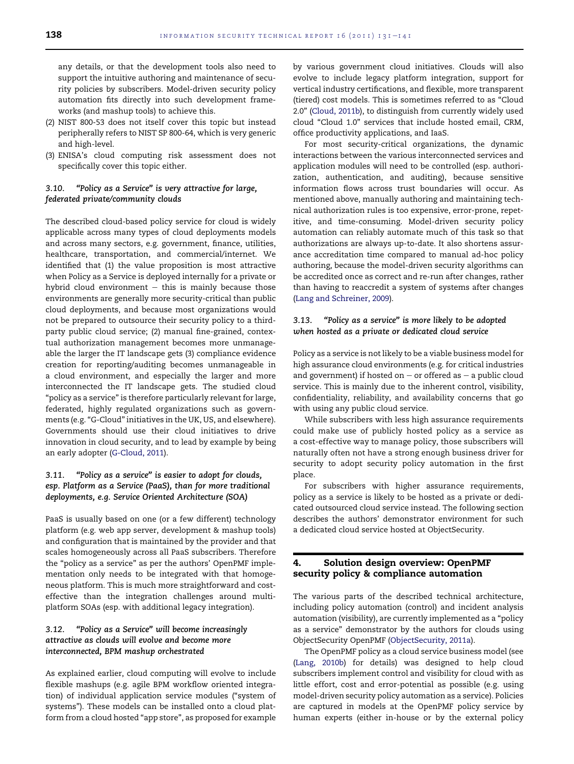any details, or that the development tools also need to support the intuitive authoring and maintenance of security policies by subscribers. Model-driven security policy automation fits directly into such development frameworks (and mashup tools) to achieve this.

- (2) NIST 800-53 does not itself cover this topic but instead peripherally refers to NIST SP 800-64, which is very generic and high-level.
- (3) ENISA's cloud computing risk assessment does not specifically cover this topic either.

# 3.10. "Policy as a Service" is very attractive for large, federated private/community clouds

The described cloud-based policy service for cloud is widely applicable across many types of cloud deployments models and across many sectors, e.g. government, finance, utilities, healthcare, transportation, and commercial/internet. We identified that (1) the value proposition is most attractive when Policy as a Service is deployed internally for a private or hybrid cloud environment  $-$  this is mainly because those environments are generally more security-critical than public cloud deployments, and because most organizations would not be prepared to outsource their security policy to a thirdparty public cloud service; (2) manual fine-grained, contextual authorization management becomes more unmanageable the larger the IT landscape gets (3) compliance evidence creation for reporting/auditing becomes unmanageable in a cloud environment, and especially the larger and more interconnected the IT landscape gets. The studied cloud "policy as a service" is therefore particularly relevant for large, federated, highly regulated organizations such as governments (e.g. "G-Cloud" initiatives in the UK, US, and elsewhere). Governments should use their cloud initiatives to drive innovation in cloud security, and to lead by example by being an early adopter [\(G-Cloud, 2011](#page-9-0)).

# 3.11. "Policy as a service" is easier to adopt for clouds, esp. Platform as a Service (PaaS), than for more traditional deployments, e.g. Service Oriented Architecture (SOA)

PaaS is usually based on one (or a few different) technology platform (e.g. web app server, development & mashup tools) and configuration that is maintained by the provider and that scales homogeneously across all PaaS subscribers. Therefore the "policy as a service" as per the authors' OpenPMF implementation only needs to be integrated with that homogeneous platform. This is much more straightforward and costeffective than the integration challenges around multiplatform SOAs (esp. with additional legacy integration).

# 3.12. "Policy as a Service" will become increasingly attractive as clouds will evolve and become more interconnected, BPM mashup orchestrated

As explained earlier, cloud computing will evolve to include flexible mashups (e.g. agile BPM workflow oriented integration) of individual application service modules ("system of systems"). These models can be installed onto a cloud platform from a cloud hosted "app store", as proposed for example

by various government cloud initiatives. Clouds will also evolve to include legacy platform integration, support for vertical industry certifications, and flexible, more transparent (tiered) cost models. This is sometimes referred to as "Cloud 2.0" ([Cloud, 2011b](#page-9-0)), to distinguish from currently widely used cloud "Cloud 1.0" services that include hosted email, CRM, office productivity applications, and IaaS.

For most security-critical organizations, the dynamic interactions between the various interconnected services and application modules will need to be controlled (esp. authorization, authentication, and auditing), because sensitive information flows across trust boundaries will occur. As mentioned above, manually authoring and maintaining technical authorization rules is too expensive, error-prone, repetitive, and time-consuming. Model-driven security policy automation can reliably automate much of this task so that authorizations are always up-to-date. It also shortens assurance accreditation time compared to manual ad-hoc policy authoring, because the model-driven security algorithms can be accredited once as correct and re-run after changes, rather than having to reaccredit a system of systems after changes ([Lang and Schreiner, 2009\)](#page-10-0).

# 3.13. "Policy as a service" is more likely to be adopted when hosted as a private or dedicated cloud service

Policy as a service is not likely to be a viable business model for high assurance cloud environments (e.g. for critical industries and government) if hosted on  $-$  or offered as  $-$  a public cloud service. This is mainly due to the inherent control, visibility, confidentiality, reliability, and availability concerns that go with using any public cloud service.

While subscribers with less high assurance requirements could make use of publicly hosted policy as a service as a cost-effective way to manage policy, those subscribers will naturally often not have a strong enough business driver for security to adopt security policy automation in the first place.

For subscribers with higher assurance requirements, policy as a service is likely to be hosted as a private or dedicated outsourced cloud service instead. The following section describes the authors' demonstrator environment for such a dedicated cloud service hosted at ObjectSecurity.

# 4. Solution design overview: OpenPMF security policy & compliance automation

The various parts of the described technical architecture, including policy automation (control) and incident analysis automation (visibility), are currently implemented as a "policy as a service" demonstrator by the authors for clouds using ObjectSecurity OpenPMF [\(ObjectSecurity, 2011a\)](#page-10-0).

The OpenPMF policy as a cloud service business model (see ([Lang, 2010b\)](#page-10-0) for details) was designed to help cloud subscribers implement control and visibility for cloud with as little effort, cost and error-potential as possible (e.g. using model-driven security policy automation as a service). Policies are captured in models at the OpenPMF policy service by human experts (either in-house or by the external policy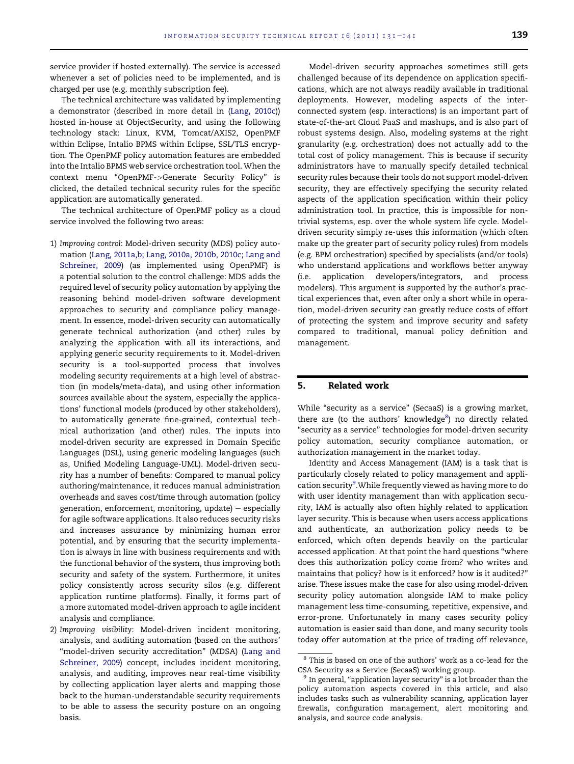service provider if hosted externally). The service is accessed whenever a set of policies need to be implemented, and is charged per use (e.g. monthly subscription fee).

The technical architecture was validated by implementing a demonstrator (described in more detail in [\(Lang, 2010c](#page-10-0))) hosted in-house at ObjectSecurity, and using the following technology stack: Linux, KVM, Tomcat/AXIS2, OpenPMF within Eclipse, Intalio BPMS within Eclipse, SSL/TLS encryption. The OpenPMF policy automation features are embedded into the Intalio BPMS web service orchestration tool. When the context menu "OpenPMF->Generate Security Policy" is clicked, the detailed technical security rules for the specific application are automatically generated.

The technical architecture of OpenPMF policy as a cloud service involved the following two areas:

- 1) Improving control: Model-driven security (MDS) policy automation [\(Lang, 2011a,b; Lang, 2010a, 2010b, 2010c; Lang and](#page-10-0) [Schreiner, 2009\)](#page-10-0) (as implemented using OpenPMF) is a potential solution to the control challenge: MDS adds the required level of security policy automation by applying the reasoning behind model-driven software development approaches to security and compliance policy management. In essence, model-driven security can automatically generate technical authorization (and other) rules by analyzing the application with all its interactions, and applying generic security requirements to it. Model-driven security is a tool-supported process that involves modeling security requirements at a high level of abstraction (in models/meta-data), and using other information sources available about the system, especially the applications' functional models (produced by other stakeholders), to automatically generate fine-grained, contextual technical authorization (and other) rules. The inputs into model-driven security are expressed in Domain Specific Languages (DSL), using generic modeling languages (such as, Unified Modeling Language-UML). Model-driven security has a number of benefits: Compared to manual policy authoring/maintenance, it reduces manual administration overheads and saves cost/time through automation (policy generation, enforcement, monitoring, update)  $-$  especially for agile software applications. It also reduces security risks and increases assurance by minimizing human error potential, and by ensuring that the security implementation is always in line with business requirements and with the functional behavior of the system, thus improving both security and safety of the system. Furthermore, it unites policy consistently across security silos (e.g. different application runtime platforms). Finally, it forms part of a more automated model-driven approach to agile incident analysis and compliance.
- 2) Improving visibility: Model-driven incident monitoring, analysis, and auditing automation (based on the authors' "model-driven security accreditation" (MDSA) [\(Lang and](#page-10-0) [Schreiner, 2009\)](#page-10-0) concept, includes incident monitoring, analysis, and auditing, improves near real-time visibility by collecting application layer alerts and mapping those back to the human-understandable security requirements to be able to assess the security posture on an ongoing basis.

Model-driven security approaches sometimes still gets challenged because of its dependence on application specifications, which are not always readily available in traditional deployments. However, modeling aspects of the interconnected system (esp. interactions) is an important part of state-of-the-art Cloud PaaS and mashups, and is also part of robust systems design. Also, modeling systems at the right granularity (e.g. orchestration) does not actually add to the total cost of policy management. This is because if security administrators have to manually specify detailed technical security rules because their tools do not support model-driven security, they are effectively specifying the security related aspects of the application specification within their policy administration tool. In practice, this is impossible for nontrivial systems, esp. over the whole system life cycle. Modeldriven security simply re-uses this information (which often make up the greater part of security policy rules) from models (e.g. BPM orchestration) specified by specialists (and/or tools) who understand applications and workflows better anyway (i.e. application developers/integrators, and process modelers). This argument is supported by the author's practical experiences that, even after only a short while in operation, model-driven security can greatly reduce costs of effort of protecting the system and improve security and safety compared to traditional, manual policy definition and management.

# 5. Related work

While "security as a service" (SecaaS) is a growing market, there are (to the authors' knowledge<sup>8</sup>) no directly related "security as a service" technologies for model-driven security policy automation, security compliance automation, or authorization management in the market today.

Identity and Access Management (IAM) is a task that is particularly closely related to policy management and application security<sup>9</sup>. While frequently viewed as having more to do with user identity management than with application security, IAM is actually also often highly related to application layer security. This is because when users access applications and authenticate, an authorization policy needs to be enforced, which often depends heavily on the particular accessed application. At that point the hard questions "where does this authorization policy come from? who writes and maintains that policy? how is it enforced? how is it audited?" arise. These issues make the case for also using model-driven security policy automation alongside IAM to make policy management less time-consuming, repetitive, expensive, and error-prone. Unfortunately in many cases security policy automation is easier said than done, and many security tools today offer automation at the price of trading off relevance,

<sup>&</sup>lt;sup>8</sup> This is based on one of the authors' work as a co-lead for the CSA Security as a Service (SecaaS) working group.

 $9$  In general, "application layer security" is a lot broader than the policy automation aspects covered in this article, and also includes tasks such as vulnerability scanning, application layer firewalls, configuration management, alert monitoring and analysis, and source code analysis.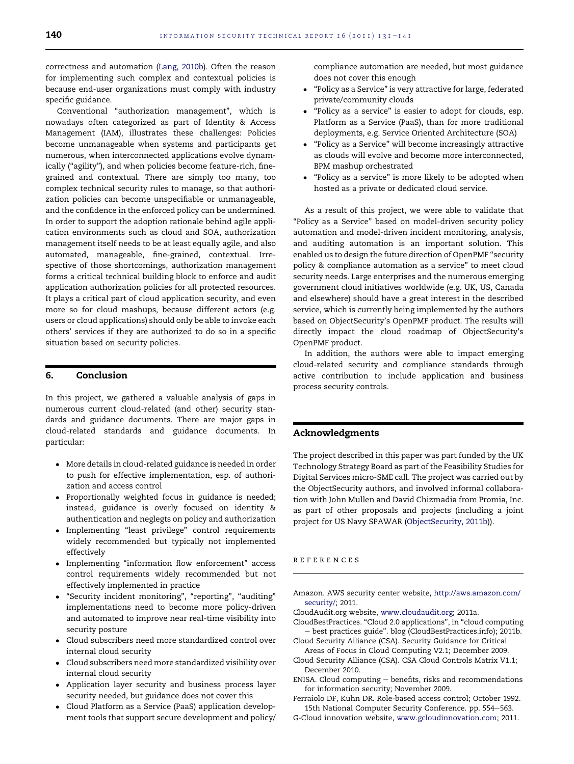<span id="page-9-0"></span>correctness and automation ([Lang, 2010b](#page-10-0)). Often the reason for implementing such complex and contextual policies is because end-user organizations must comply with industry specific guidance.

Conventional "authorization management", which is nowadays often categorized as part of Identity & Access Management (IAM), illustrates these challenges: Policies become unmanageable when systems and participants get numerous, when interconnected applications evolve dynamically ("agility"), and when policies become feature-rich, finegrained and contextual. There are simply too many, too complex technical security rules to manage, so that authorization policies can become unspecifiable or unmanageable, and the confidence in the enforced policy can be undermined. In order to support the adoption rationale behind agile application environments such as cloud and SOA, authorization management itself needs to be at least equally agile, and also automated, manageable, fine-grained, contextual. Irrespective of those shortcomings, authorization management forms a critical technical building block to enforce and audit application authorization policies for all protected resources. It plays a critical part of cloud application security, and even more so for cloud mashups, because different actors (e.g. users or cloud applications) should only be able to invoke each others' services if they are authorized to do so in a specific situation based on security policies.

# 6. Conclusion

In this project, we gathered a valuable analysis of gaps in numerous current cloud-related (and other) security standards and guidance documents. There are major gaps in cloud-related standards and guidance documents. In particular:

- More details in cloud-related guidance is needed in order to push for effective implementation, esp. of authorization and access control
- Proportionally weighted focus in guidance is needed; instead, guidance is overly focused on identity & authentication and neglegts on policy and authorization
- Implementing "least privilege" control requirements widely recommended but typically not implemented effectively
- Implementing "information flow enforcement" access control requirements widely recommended but not effectively implemented in practice
- "Security incident monitoring", "reporting", "auditing" implementations need to become more policy-driven and automated to improve near real-time visibility into security posture
- Cloud subscribers need more standardized control over internal cloud security
- Cloud subscribers need more standardized visibility over internal cloud security
- Application layer security and business process layer security needed, but guidance does not cover this
- Cloud Platform as a Service (PaaS) application development tools that support secure development and policy/

compliance automation are needed, but most guidance does not cover this enough

- "Policy as a Service" is very attractive for large, federated private/community clouds
- "Policy as a service" is easier to adopt for clouds, esp. Platform as a Service (PaaS), than for more traditional deployments, e.g. Service Oriented Architecture (SOA)
- "Policy as a Service" will become increasingly attractive as clouds will evolve and become more interconnected, BPM mashup orchestrated
- "Policy as a service" is more likely to be adopted when hosted as a private or dedicated cloud service.

As a result of this project, we were able to validate that "Policy as a Service" based on model-driven security policy automation and model-driven incident monitoring, analysis, and auditing automation is an important solution. This enabled us to design the future direction of OpenPMF "security policy & compliance automation as a service" to meet cloud security needs. Large enterprises and the numerous emerging government cloud initiatives worldwide (e.g. UK, US, Canada and elsewhere) should have a great interest in the described service, which is currently being implemented by the authors based on ObjectSecurity's OpenPMF product. The results will directly impact the cloud roadmap of ObjectSecurity's OpenPMF product.

In addition, the authors were able to impact emerging cloud-related security and compliance standards through active contribution to include application and business process security controls.

# Acknowledgments

The project described in this paper was part funded by the UK Technology Strategy Board as part of the Feasibility Studies for Digital Services micro-SME call. The project was carried out by the ObjectSecurity authors, and involved informal collaboration with John Mullen and David Chizmadia from Promia, Inc. as part of other proposals and projects (including a joint project for US Navy SPAWAR [\(ObjectSecurity, 2011b\)](#page-10-0)).

## references

- Amazon. AWS security center website, [http://aws.amazon.com/](http://aws.amazon.com/security/) [security/](http://aws.amazon.com/security/); 2011.
- CloudAudit.org website, [www.cloudaudit.org;](http://www.cloudaudit.org) 2011a.
- CloudBestPractices. "Cloud 2.0 applications", in "cloud computing - best practices guide". blog (CloudBestPractices.info); 2011b.
- Cloud Security Alliance (CSA). Security Guidance for Critical Areas of Focus in Cloud Computing V2.1; December 2009.
- Cloud Security Alliance (CSA). CSA Cloud Controls Matrix V1.1; December 2010.
- ENISA. Cloud computing  $-$  benefits, risks and recommendations for information security; November 2009.
- Ferraiolo DF, Kuhn DR. Role-based access control; October 1992. 15th National Computer Security Conference. pp. 554-563.
- G-Cloud innovation website, [www.gcloudinnovation.com;](http://www.gcloudinnovation.com) 2011.